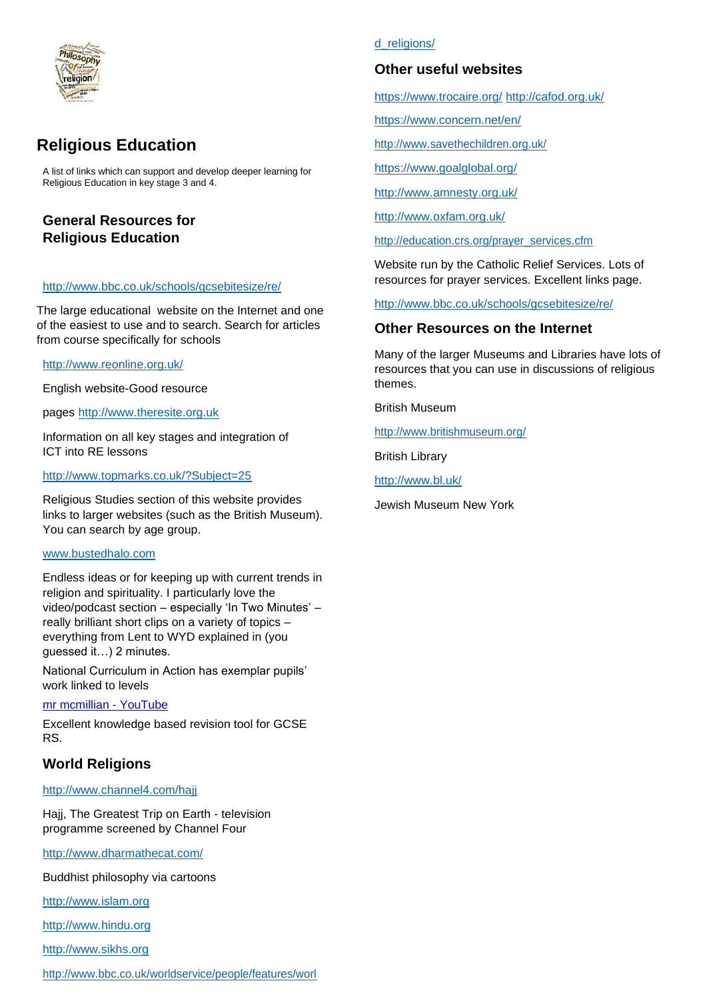

# **Religious Education**

A list of links which can support and develop deeper learning for Religious Education in key stage 3 and 4.

# **General Resources for Religious Education**

#### <http://www.bbc.co.uk/schools/gcsebitesize/re/>

The large educational website on the Internet and one of the easiest to use and to search. Search for articles from course specifically for schools

<http://www.reonline.org.uk/>

English website-Good resource

pages [http://www.theresite.org.uk](http://www.theresite.org.uk/)

Information on all key stages and integration of ICT into RE lessons

<http://www.topmarks.co.uk/?Subject=25>

Religious Studies section of this website provides links to larger websites (such as the British Museum). You can search by age group.

#### [www.bustedhalo.com](http://www.bustedhalo.com/)

Endless ideas or for keeping up with current trends in religion and spirituality. I particularly love the video/podcast section – especially 'In Two Minutes' – really brilliant short clips on a variety of topics – everything from Lent to WYD explained in (you guessed it…) 2 minutes.

National Curriculum in Action has exemplar pupils' work linked to levels

#### [mr mcmillian -](https://www.youtube.com/results?search_query=mr+mcmillian) YouTube

Excellent knowledge based revision tool for GCSE RS.

# **World Religions**

#### <http://www.channel4.com/hajj>

Hajj, The Greatest Trip on Earth - television programme screened by Channel Four

<http://www.dharmathecat.com/>

Buddhist philosophy via cartoons

[http://www.islam.org](http://www.islam.org/)

[http://www.hindu.org](http://www.hindu.org/)

[http://www.sikhs.org](http://www.sikhs.org/)

#### [http://www.bbc.co.uk/worldservice/people/features/worl](http://www.bbc.co.uk/worldservice/people/features/world_religions/)

#### [d\\_religions/](http://www.bbc.co.uk/worldservice/people/features/world_religions/)

## **Other useful websites**

<https://www.trocaire.org/> <http://cafod.org.uk/>

<https://www.concern.net/en/>

<http://www.savethechildren.org.uk/>

<https://www.goalglobal.org/>

<http://www.amnesty.org.uk/>

<http://www.oxfam.org.uk/>

[http://education.crs.org/prayer\\_services.cfm](http://education.crs.org/prayer_services.cfm)

Website run by the Catholic Relief Services. Lots of resources for prayer services. Excellent links page.

<http://www.bbc.co.uk/schools/gcsebitesize/re/>

## **Other Resources on the Internet**

Many of the larger Museums and Libraries have lots of resources that you can use in discussions of religious themes.

British Museum

<http://www.britishmuseum.org/>

British Library

<http://www.bl.uk/>

Jewish Museum New York